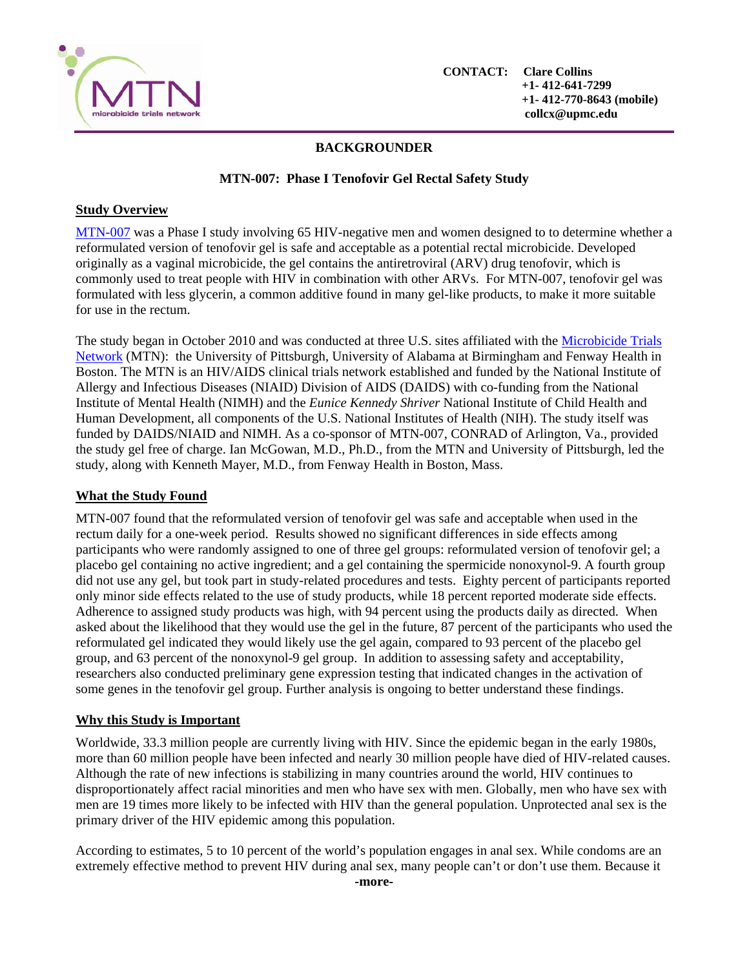

# **BACKGROUNDER**

# **MTN-007: Phase I Tenofovir Gel Rectal Safety Study**

### **Study Overview**

MTN-007 was a Phase I study involving 65 HIV-negative men and women designed to to determine whether a reformulated version of tenofovir gel is safe and acceptable as a potential rectal microbicide. Developed originally as a vaginal microbicide, the gel contains the antiretroviral (ARV) drug tenofovir, which is commonly used to treat people with HIV in combination with other ARVs. For MTN-007, tenofovir gel was formulated with less glycerin, a common additive found in many gel-like products, to make it more suitable for use in the rectum.

The study began in October 2010 and was conducted at three U.S. sites affiliated with the Microbicide Trials Network (MTN): the University of Pittsburgh, University of Alabama at Birmingham and Fenway Health in Boston. The MTN is an HIV/AIDS clinical trials network established and funded by the National Institute of Allergy and Infectious Diseases (NIAID) Division of AIDS (DAIDS) with co-funding from the National Institute of Mental Health (NIMH) and the *Eunice Kennedy Shriver* National Institute of Child Health and Human Development, all components of the U.S. National Institutes of Health (NIH). The study itself was funded by DAIDS/NIAID and NIMH. As a co-sponsor of MTN-007, CONRAD of Arlington, Va., provided the study gel free of charge. Ian McGowan, M.D., Ph.D., from the MTN and University of Pittsburgh, led the study, along with Kenneth Mayer, M.D., from Fenway Health in Boston, Mass.

## **What the Study Found**

MTN-007 found that the reformulated version of tenofovir gel was safe and acceptable when used in the rectum daily for a one-week period. Results showed no significant differences in side effects among participants who were randomly assigned to one of three gel groups: reformulated version of tenofovir gel; a placebo gel containing no active ingredient; and a gel containing the spermicide nonoxynol-9. A fourth group did not use any gel, but took part in study-related procedures and tests. Eighty percent of participants reported only minor side effects related to the use of study products, while 18 percent reported moderate side effects. Adherence to assigned study products was high, with 94 percent using the products daily as directed. When asked about the likelihood that they would use the gel in the future, 87 percent of the participants who used the reformulated gel indicated they would likely use the gel again, compared to 93 percent of the placebo gel group, and 63 percent of the nonoxynol-9 gel group. In addition to assessing safety and acceptability, researchers also conducted preliminary gene expression testing that indicated changes in the activation of some genes in the tenofovir gel group. Further analysis is ongoing to better understand these findings.

## **Why this Study is Important**

Worldwide, 33.3 million people are currently living with HIV. Since the epidemic began in the early 1980s, more than 60 million people have been infected and nearly 30 million people have died of HIV-related causes. Although the rate of new infections is stabilizing in many countries around the world, HIV continues to disproportionately affect racial minorities and men who have sex with men. Globally, men who have sex with men are 19 times more likely to be infected with HIV than the general population. Unprotected anal sex is the primary driver of the HIV epidemic among this population.

According to estimates, 5 to 10 percent of the world's population engages in anal sex. While condoms are an extremely effective method to prevent HIV during anal sex, many people can't or don't use them. Because it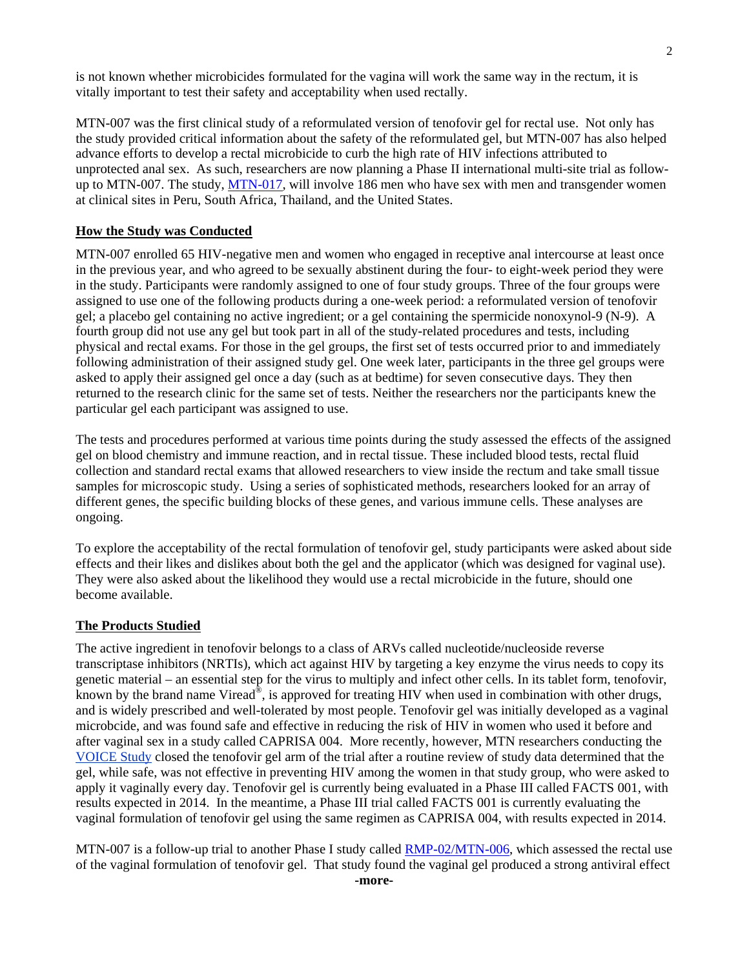is not known whether microbicides formulated for the vagina will work the same way in the rectum, it is vitally important to test their safety and acceptability when used rectally.

MTN-007 was the first clinical study of a reformulated version of tenofovir gel for rectal use. Not only has the study provided critical information about the safety of the reformulated gel, but MTN-007 has also helped advance efforts to develop a rectal microbicide to curb the high rate of HIV infections attributed to unprotected anal sex. As such, researchers are now planning a Phase II international multi-site trial as followup to MTN-007. The study, MTN-017, will involve 186 men who have sex with men and transgender women at clinical sites in Peru, South Africa, Thailand, and the United States.

#### **How the Study was Conducted**

MTN-007 enrolled 65 HIV-negative men and women who engaged in receptive anal intercourse at least once in the previous year, and who agreed to be sexually abstinent during the four- to eight-week period they were in the study. Participants were randomly assigned to one of four study groups. Three of the four groups were assigned to use one of the following products during a one-week period: a reformulated version of tenofovir gel; a placebo gel containing no active ingredient; or a gel containing the spermicide nonoxynol-9 (N-9). A fourth group did not use any gel but took part in all of the study-related procedures and tests, including physical and rectal exams. For those in the gel groups, the first set of tests occurred prior to and immediately following administration of their assigned study gel. One week later, participants in the three gel groups were asked to apply their assigned gel once a day (such as at bedtime) for seven consecutive days. They then returned to the research clinic for the same set of tests. Neither the researchers nor the participants knew the particular gel each participant was assigned to use.

The tests and procedures performed at various time points during the study assessed the effects of the assigned gel on blood chemistry and immune reaction, and in rectal tissue. These included blood tests, rectal fluid collection and standard rectal exams that allowed researchers to view inside the rectum and take small tissue samples for microscopic study. Using a series of sophisticated methods, researchers looked for an array of different genes, the specific building blocks of these genes, and various immune cells. These analyses are ongoing.

To explore the acceptability of the rectal formulation of tenofovir gel, study participants were asked about side effects and their likes and dislikes about both the gel and the applicator (which was designed for vaginal use). They were also asked about the likelihood they would use a rectal microbicide in the future, should one become available.

#### **The Products Studied**

The active ingredient in tenofovir belongs to a class of ARVs called nucleotide/nucleoside reverse transcriptase inhibitors (NRTIs), which act against HIV by targeting a key enzyme the virus needs to copy its genetic material – an essential step for the virus to multiply and infect other cells. In its tablet form, tenofovir, known by the brand name Viread<sup>®</sup>, is approved for treating HIV when used in combination with other drugs, and is widely prescribed and well-tolerated by most people. Tenofovir gel was initially developed as a vaginal microbcide, and was found safe and effective in reducing the risk of HIV in women who used it before and after vaginal sex in a study called CAPRISA 004. More recently, however, MTN researchers conducting the VOICE Study closed the tenofovir gel arm of the trial after a routine review of study data determined that the gel, while safe, was not effective in preventing HIV among the women in that study group, who were asked to apply it vaginally every day. Tenofovir gel is currently being evaluated in a Phase III called FACTS 001, with results expected in 2014. In the meantime, a Phase III trial called FACTS 001 is currently evaluating the vaginal formulation of tenofovir gel using the same regimen as CAPRISA 004, with results expected in 2014.

MTN-007 is a follow-up trial to another Phase I study called RMP-02/MTN-006, which assessed the rectal use of the vaginal formulation of tenofovir gel. That study found the vaginal gel produced a strong antiviral effect